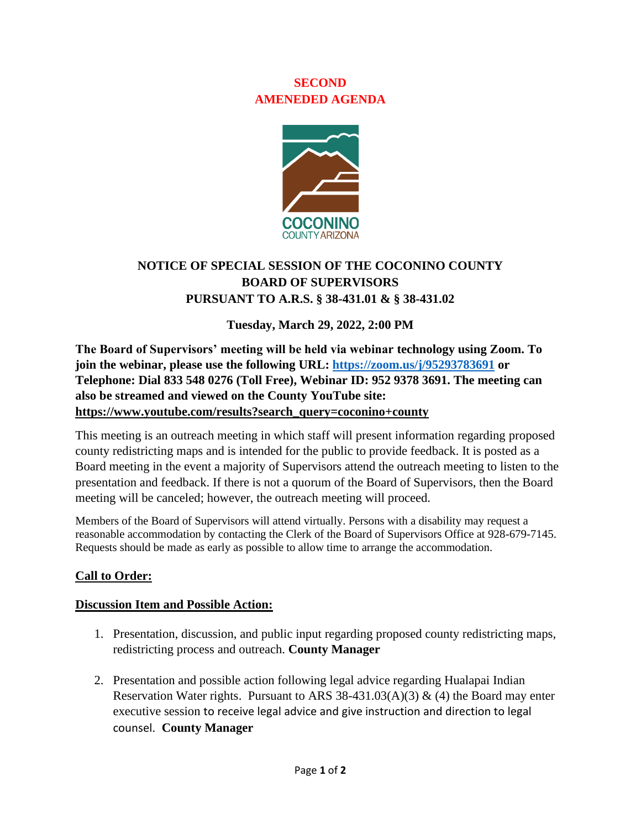### **SECOND AMENEDED AGENDA**



# **NOTICE OF SPECIAL SESSION OF THE COCONINO COUNTY BOARD OF SUPERVISORS PURSUANT TO A.R.S. § 38-431.01 & § 38-431.02**

#### **Tuesday, March 29, 2022, 2:00 PM**

**The Board of Supervisors' meeting will be held via webinar technology using Zoom. To join the webinar, please use the following URL:<https://zoom.us/j/95293783691> or Telephone: Dial 833 548 0276 (Toll Free), Webinar ID: 952 9378 3691. The meeting can also be streamed and viewed on the County YouTube site: [https://www.youtube.com/results?search\\_query=coconino+county](https://www.youtube.com/results?search_query=coconino+county)**

This meeting is an outreach meeting in which staff will present information regarding proposed county redistricting maps and is intended for the public to provide feedback. It is posted as a Board meeting in the event a majority of Supervisors attend the outreach meeting to listen to the presentation and feedback. If there is not a quorum of the Board of Supervisors, then the Board meeting will be canceled; however, the outreach meeting will proceed.

Members of the Board of Supervisors will attend virtually. Persons with a disability may request a reasonable accommodation by contacting the Clerk of the Board of Supervisors Office at 928-679-7145. Requests should be made as early as possible to allow time to arrange the accommodation.

### **Call to Order:**

#### **Discussion Item and Possible Action:**

- 1. Presentation, discussion, and public input regarding proposed county redistricting maps, redistricting process and outreach. **County Manager**
- 2. Presentation and possible action following legal advice regarding Hualapai Indian Reservation Water rights. Pursuant to ARS 38-431.03(A)(3) & (4) the Board may enter executive session to receive legal advice and give instruction and direction to legal counsel. **County Manager**